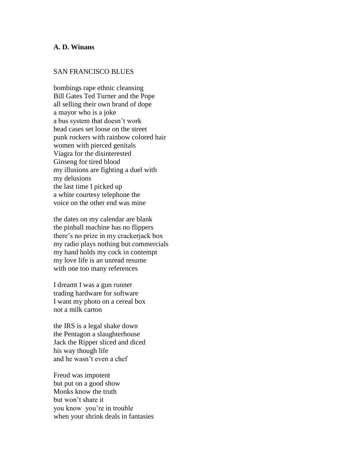## **A. D. Winans**

## SAN FRANCISCO BLUES

bombings rape ethnic cleansing Bill Gates Ted Turner and the Pope all selling their own brand of dope a mayor who is a joke a bus system that doesn't work head cases set loose on the street punk rockers with rainbow colored hair women with pierced genitals Viagra for the disinterested Ginseng for tired blood my illusions are fighting a duel with my delusions the last time I picked up a white courtesy telephone the voice on the other end was mine

the dates on my calendar are blank the pinball machine has no flippers there's no prize in my crackerjack box my radio plays nothing but commercials my hand holds my cock in contempt my love life is an unread resume with one too many references

I dreamt I was a gun runner trading hardware for software I want my photo on a cereal box not a milk carton

the IRS is a legal shake down the Pentagon a slaughterhouse Jack the Ripper sliced and diced his way though life and he wasn't even a chef

Freud was impotent but put on a good show Monks know the truth but won't share it you know you're in trouble when your shrink deals in fantasies